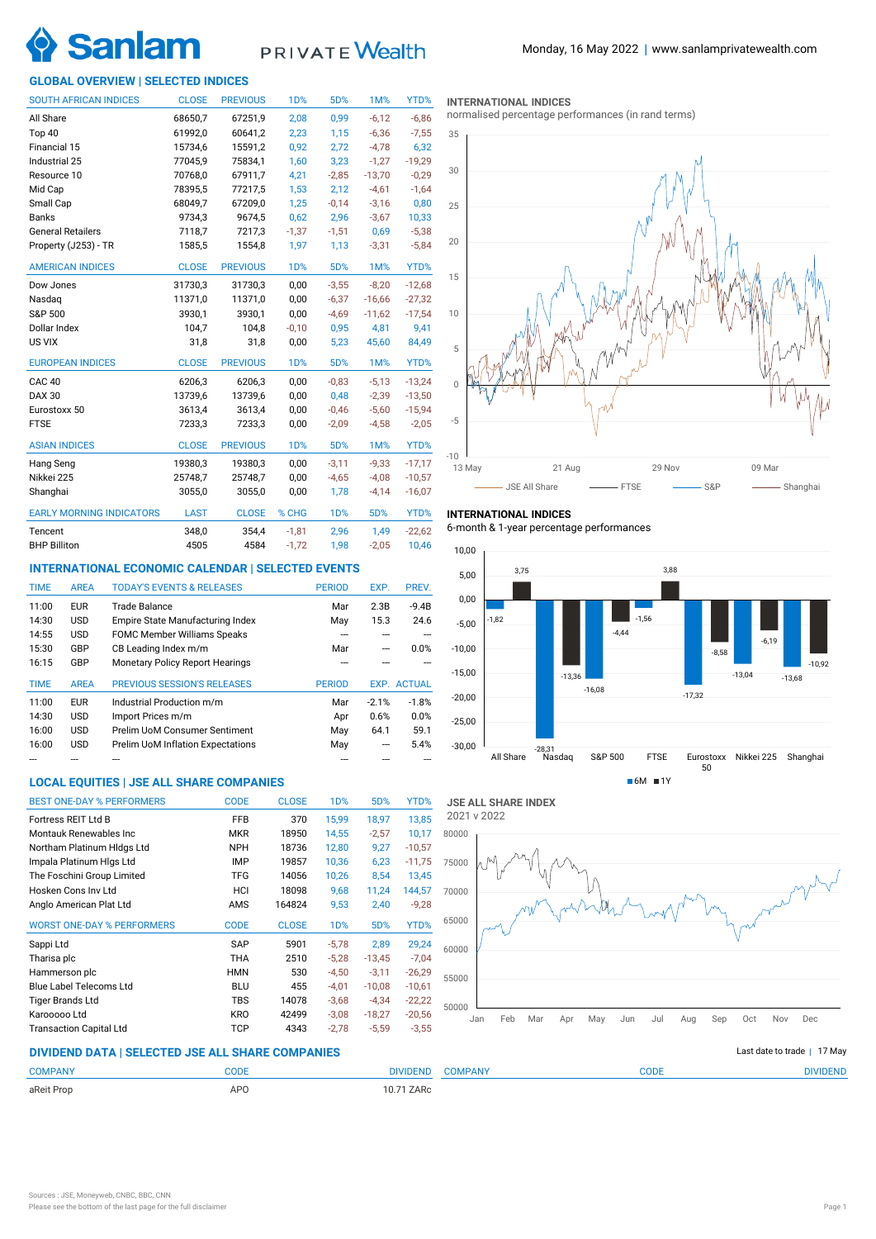

# PRIVATE Wealth

## **GLOBAL OVERVIEW | SELECTED INDICES**

| <b>SOUTH AFRICAN INDICES</b>    | <b>CLOSE</b> | <b>PREVIOUS</b> | 1 <sub>D</sub> % | 5D%        | 1M%      | YTD%     |
|---------------------------------|--------------|-----------------|------------------|------------|----------|----------|
| All Share                       | 68650,7      | 67251,9         | 2,08             | 0,99       | $-6,12$  | $-6,86$  |
| Top 40                          | 61992,0      | 60641,2         | 2,23             | 1,15       | $-6,36$  | $-7,55$  |
| Financial 15                    | 15734,6      | 15591,2         | 0,92             | 2,72       | $-4,78$  | 6,32     |
| Industrial 25                   | 77045,9      | 75834,1         | 1,60             | 3,23       | $-1,27$  | $-19,29$ |
| Resource 10                     | 70768,0      | 67911,7         | 4,21             | $-2,85$    | $-13,70$ | $-0,29$  |
| Mid Cap                         | 78395,5      | 77217,5         | 1,53             | 2,12       | $-4,61$  | $-1,64$  |
| Small Cap                       | 68049,7      | 67209,0         | 1,25             | $-0,14$    | $-3,16$  | 0,80     |
| <b>Banks</b>                    | 9734,3       | 9674,5          | 0,62             | 2,96       | $-3,67$  | 10,33    |
| <b>General Retailers</b>        | 7118,7       | 7217,3          | $-1,37$          | $-1,51$    | 0,69     | $-5,38$  |
| Property (J253) - TR            | 1585,5       | 1554,8          | 1,97             | 1,13       | $-3,31$  | $-5,84$  |
| <b>AMERICAN INDICES</b>         | <b>CLOSE</b> | <b>PREVIOUS</b> | 1 <sub>D</sub> % | 5D%        | 1M%      | YTD%     |
| Dow Jones                       | 31730,3      | 31730,3         | 0,00             | $-3,55$    | $-8,20$  | $-12,68$ |
| Nasdag                          | 11371,0      | 11371,0         | 0,00             | $-6,37$    | $-16,66$ | $-27,32$ |
| S&P 500                         | 3930,1       | 3930,1          | 0,00             | $-4,69$    | $-11,62$ | $-17,54$ |
| Dollar Index                    | 104,7        | 104,8           | $-0,10$          | 0,95       | 4,81     | 9,41     |
| US VIX                          | 31,8         | 31,8            | 0,00             | 5,23       | 45,60    | 84,49    |
| <b>EUROPEAN INDICES</b>         | <b>CLOSE</b> | <b>PREVIOUS</b> | 1 <sub>D</sub> % | 5D%        | 1M%      | YTD%     |
| CAC <sub>40</sub>               | 6206.3       | 6206.3          | 0,00             | $-0,83$    | $-5.13$  | $-13,24$ |
| <b>DAX 30</b>                   | 13739,6      | 13739,6         | 0,00             | 0,48       | $-2,39$  | $-13,50$ |
| Eurostoxx 50                    | 3613,4       | 3613,4          | 0,00             | $-0,46$    | $-5,60$  | $-15,94$ |
| <b>FTSE</b>                     | 7233,3       | 7233,3          | 0,00             | $-2,09$    | $-4,58$  | $-2,05$  |
| <b>ASIAN INDICES</b>            | <b>CLOSE</b> | <b>PREVIOUS</b> | 1 <sub>D</sub> % | 5D%        | 1M%      | YTD%     |
| Hang Seng                       | 19380,3      | 19380,3         | 0,00             | $-3,11$    | $-9,33$  | $-17,17$ |
| Nikkei 225                      | 25748,7      | 25748,7         | 0,00             | $-4,65$    | $-4,08$  | $-10,57$ |
| Shanghai                        | 3055,0       | 3055,0          | 0,00             | 1,78       | $-4,14$  | $-16,07$ |
| <b>EARLY MORNING INDICATORS</b> | <b>LAST</b>  | <b>CLOSE</b>    | % CHG            | <b>1D%</b> | 5D%      | YTD%     |
| Tencent                         | 348,0        | 354,4           | $-1,81$          | 2,96       | 1,49     | $-22,62$ |
| <b>BHP Billiton</b>             | 4505         | 4584            | $-1,72$          | 1,98       | $-2,05$  | 10,46    |

## **INTERNATIONAL ECONOMIC CALENDAR | SELECTED EVENTS**

| <b>TIME</b> | <b>AREA</b> | <b>TODAY'S EVENTS &amp; RELEASES</b>     | <b>PERIOD</b> | EXP.    | PREV.              |
|-------------|-------------|------------------------------------------|---------------|---------|--------------------|
| 11:00       | <b>EUR</b>  | Trade Balance                            | Mar           | 2.3B    | $-9.4B$            |
| 14:30       | <b>USD</b>  | Empire State Manufacturing Index         | May           | 15.3    | 24.6               |
| 14:55       | <b>USD</b>  | <b>FOMC Member Williams Speaks</b>       |               |         |                    |
| 15:30       | GBP         | CB Leading Index m/m                     | Mar           | ---     | 0.0%               |
| 16:15       | GBP         | <b>Monetary Policy Report Hearings</b>   |               |         |                    |
|             |             |                                          |               |         |                    |
| <b>TIME</b> | <b>AREA</b> | <b>PREVIOUS SESSION'S RELEASES</b>       | <b>PERIOD</b> |         | <b>EXP. ACTUAL</b> |
| 11:00       | <b>EUR</b>  | Industrial Production m/m                | Mar           | $-2.1%$ | $-1.8%$            |
| 14:30       | <b>USD</b>  | Import Prices m/m                        | Apr           | 0.6%    | 0.0%               |
| 16:00       | <b>USD</b>  | Prelim UoM Consumer Sentiment            | May           | 64.1    | 59.1               |
| 16:00       | <b>USD</b>  | <b>Prelim UoM Inflation Expectations</b> | May           | ---     | 5.4%               |

## **LOCAL EQUITIES | JSE ALL SHARE COMPANIES**

| <b>BEST ONE-DAY % PERFORMERS</b>  | <b>CODE</b> | <b>CLOSE</b> | 1 <sub>D</sub> % | 5D%      | YTD%     |
|-----------------------------------|-------------|--------------|------------------|----------|----------|
| Fortress REIT Ltd B               | <b>FFB</b>  | 370          | 15.99            | 18.97    | 13,85    |
| Montauk Renewables Inc            | <b>MKR</b>  | 18950        | 14.55            | $-2,57$  | 10,17    |
| Northam Platinum HIdgs Ltd        | <b>NPH</b>  | 18736        | 12.80            | 9.27     | $-10,57$ |
| Impala Platinum HIgs Ltd          | <b>IMP</b>  | 19857        | 10,36            | 6,23     | $-11,75$ |
| The Foschini Group Limited        | <b>TFG</b>  | 14056        | 10,26            | 8,54     | 13,45    |
| Hosken Cons Inv Ltd               | HCI         | 18098        | 9,68             | 11,24    | 144,57   |
| Anglo American Plat Ltd           | AMS         | 164824       | 9,53             | 2,40     | $-9,28$  |
| <b>WORST ONE-DAY % PERFORMERS</b> | <b>CODE</b> | <b>CLOSE</b> | 1 <sub>D</sub> % | 5D%      | YTD%     |
| Sappi Ltd                         | <b>SAP</b>  | 5901         | $-5.78$          | 2.89     | 29,24    |
| Tharisa plc                       | THA         | 2510         | $-5,28$          | $-13,45$ | $-7,04$  |
| Hammerson plc                     | <b>HMN</b>  | 530          | $-4.50$          | $-3.11$  | $-26,29$ |
| Blue Label Telecoms Ltd           | <b>BLU</b>  | 455          | $-4,01$          | $-10.08$ | $-10,61$ |
| <b>Tiger Brands Ltd</b>           | TBS         | 14078        | $-3,68$          | $-4.34$  | $-22,22$ |
| Karooooo Ltd                      | <b>KRO</b>  | 42499        | $-3,08$          | $-18,27$ | $-20,56$ |
| <b>Transaction Capital Ltd</b>    | <b>TCP</b>  | 4343         | $-2,78$          | $-5,59$  | $-3,55$  |

#### **INTERNATIONAL INDICES**

normalised percentage performances (in rand terms)



## **INTERNATIONAL INDICES**

6-month & 1-year percentage performances



**JSE ALL SHARE INDEX** 2021 v 2022



## **DIVIDEND DATA | SELECTED JSE ALL SHARE COMPANIES |**

| <b>COMPANY</b> | <b>CODE</b> | <b>JPANY</b><br>IVIDEND | CODE | ח <b>ו</b> טור! |
|----------------|-------------|-------------------------|------|-----------------|
| aReit Prop     | <b>APC</b>  | ZARc                    |      |                 |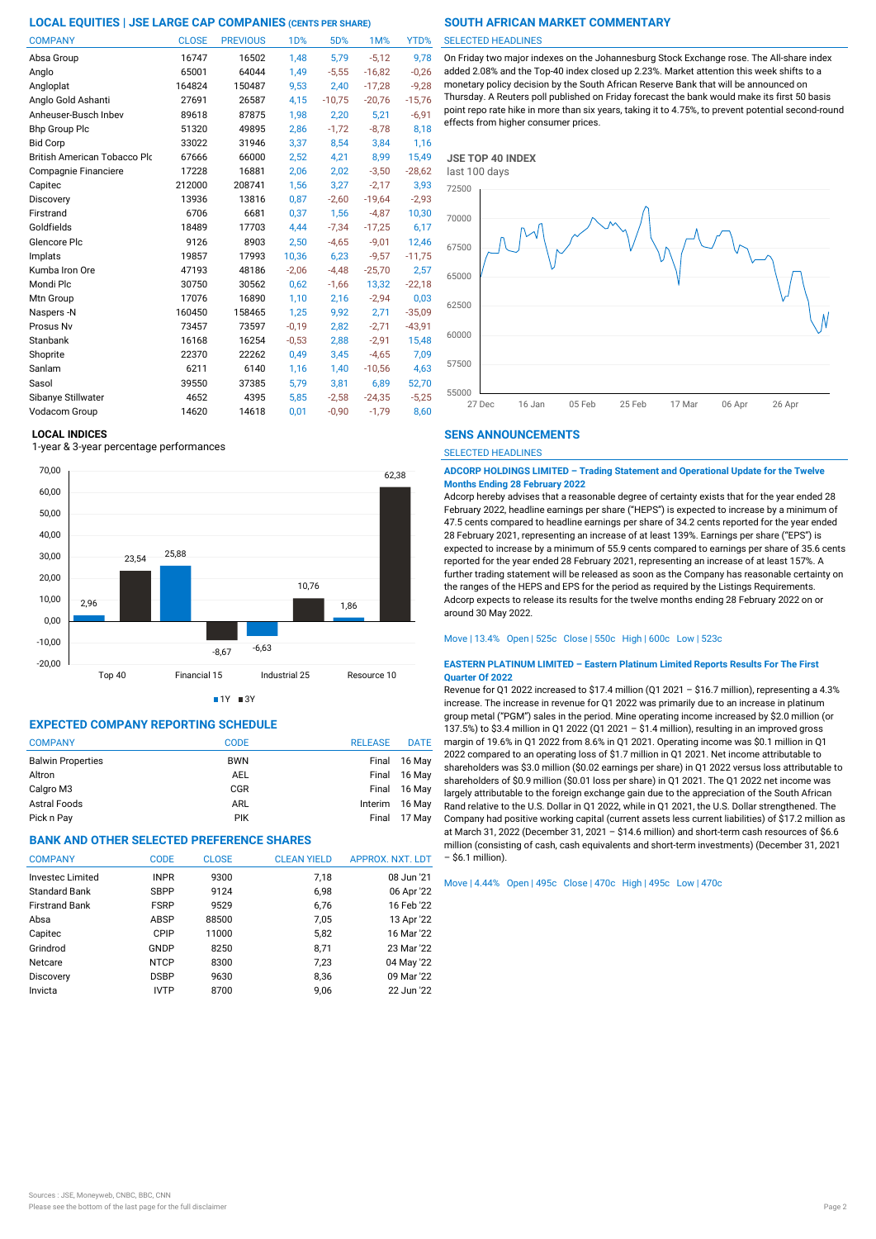| <b>COMPANY</b>               | <b>CLOSE</b> | <b>PREVIOUS</b> | 1D%     | 5D%      | 1M%      | YTD%     |
|------------------------------|--------------|-----------------|---------|----------|----------|----------|
| Absa Group                   | 16747        | 16502           | 1,48    | 5,79     | $-5,12$  | 9,78     |
| Anglo                        | 65001        | 64044           | 1,49    | $-5,55$  | $-16,82$ | $-0,26$  |
| Angloplat                    | 164824       | 150487          | 9,53    | 2,40     | $-17,28$ | $-9,28$  |
| Anglo Gold Ashanti           | 27691        | 26587           | 4,15    | $-10,75$ | $-20,76$ | $-15,76$ |
| Anheuser-Busch Inbev         | 89618        | 87875           | 1,98    | 2,20     | 5,21     | $-6,91$  |
| <b>Bhp Group Plc</b>         | 51320        | 49895           | 2,86    | $-1,72$  | $-8,78$  | 8,18     |
| <b>Bid Corp</b>              | 33022        | 31946           | 3,37    | 8,54     | 3,84     | 1,16     |
| British American Tobacco Plo | 67666        | 66000           | 2,52    | 4,21     | 8,99     | 15,49    |
| Compagnie Financiere         | 17228        | 16881           | 2,06    | 2,02     | $-3,50$  | $-28,62$ |
| Capitec                      | 212000       | 208741          | 1,56    | 3,27     | $-2,17$  | 3,93     |
| Discovery                    | 13936        | 13816           | 0,87    | $-2,60$  | $-19,64$ | $-2,93$  |
| Firstrand                    | 6706         | 6681            | 0,37    | 1,56     | $-4,87$  | 10,30    |
| Goldfields                   | 18489        | 17703           | 4,44    | $-7.34$  | $-17.25$ | 6,17     |
| Glencore Plc                 | 9126         | 8903            | 2,50    | $-4,65$  | $-9.01$  | 12,46    |
| Implats                      | 19857        | 17993           | 10,36   | 6,23     | $-9,57$  | $-11,75$ |
| Kumba Iron Ore               | 47193        | 48186           | $-2,06$ | $-4,48$  | $-25,70$ | 2,57     |
| Mondi Plc                    | 30750        | 30562           | 0,62    | $-1,66$  | 13,32    | $-22,18$ |
| Mtn Group                    | 17076        | 16890           | 1,10    | 2,16     | $-2,94$  | 0,03     |
| Naspers -N                   | 160450       | 158465          | 1,25    | 9,92     | 2,71     | $-35,09$ |
| Prosus Nv                    | 73457        | 73597           | $-0,19$ | 2,82     | $-2,71$  | $-43,91$ |
| Stanbank                     | 16168        | 16254           | $-0,53$ | 2,88     | $-2.91$  | 15,48    |
| Shoprite                     | 22370        | 22262           | 0,49    | 3,45     | $-4,65$  | 7,09     |
| Sanlam                       | 6211         | 6140            | 1,16    | 1,40     | $-10,56$ | 4,63     |
| Sasol                        | 39550        | 37385           | 5,79    | 3,81     | 6,89     | 52,70    |
| Sibanye Stillwater           | 4652         | 4395            | 5,85    | $-2,58$  | $-24,35$ | $-5,25$  |
| Vodacom Group                | 14620        | 14618           | 0.01    | $-0.90$  | $-1.79$  | 8.60     |

### **LOCAL INDICES**

1-year & 3-year percentage performances



 $1Y = 3Y$ 

## **EXPECTED COMPANY REPORTING SCHEDULE**

| <b>COMPANY</b>           | <b>CODE</b> | <b>RELEASE</b> | <b>DATE</b>  |
|--------------------------|-------------|----------------|--------------|
| <b>Balwin Properties</b> | <b>BWN</b>  |                | Final 16 May |
| Altron                   | <b>AEL</b>  |                | Final 16 May |
| Calgro M3                | <b>CGR</b>  | Final          | 16 May       |
| Astral Foods             | <b>ARL</b>  | Interim        | 16 May       |
| Pick n Pay               | <b>PIK</b>  | Final          | 17 Mav       |

## **BANK AND OTHER SELECTED PREFERENCE SHARES**

| <b>COMPANY</b>          | <b>CODE</b> | <b>CLOSE</b> | <b>CLEAN YIELD</b> | APPROX. NXT. LDT |
|-------------------------|-------------|--------------|--------------------|------------------|
| <b>Investec Limited</b> | <b>INPR</b> | 9300         | 7,18               | 08 Jun '21       |
| <b>Standard Bank</b>    | <b>SBPP</b> | 9124         | 6,98               | 06 Apr '22       |
| <b>Firstrand Bank</b>   | <b>FSRP</b> | 9529         | 6,76               | 16 Feb '22       |
| Absa                    | ABSP        | 88500        | 7,05               | 13 Apr '22       |
| Capitec                 | CPIP        | 11000        | 5,82               | 16 Mar '22       |
| Grindrod                | GNDP        | 8250         | 8,71               | 23 Mar '22       |
| Netcare                 | <b>NTCP</b> | 8300         | 7,23               | 04 May '22       |
| Discovery               | <b>DSBP</b> | 9630         | 8,36               | 09 Mar '22       |
| Invicta                 | <b>IVTP</b> | 8700         | 9,06               | 22 Jun '22       |

#### SELECTED HEADLINES

On Friday two major indexes on the Johannesburg Stock Exchange rose. The All-share index added 2.08% and the Top-40 index closed up 2.23%. Market attention this week shifts to a monetary policy decision by the South African Reserve Bank that will be announced on Thursday. A Reuters poll published on Friday forecast the bank would make its first 50 basis point repo rate hike in more than six years, taking it to 4.75%, to prevent potential second-round effects from higher consumer prices.



### **SENS ANNOUNCEMENTS**

SELECTED HEADLINES

**ADCORP HOLDINGS LIMITED – Trading Statement and Operational Update for the Twelve Months Ending 28 February 2022**

Adcorp hereby advises that a reasonable degree of certainty exists that for the year ended 28 February 2022, headline earnings per share ("HEPS") is expected to increase by a minimum of 47.5 cents compared to headline earnings per share of 34.2 cents reported for the year ended 28 February 2021, representing an increase of at least 139%. Earnings per share ("EPS") is expected to increase by a minimum of 55.9 cents compared to earnings per share of 35.6 cents reported for the year ended 28 February 2021, representing an increase of at least 157%. A further trading statement will be released as soon as the Company has reasonable certainty on the ranges of the HEPS and EPS for the period as required by the Listings Requirements. Adcorp expects to release its results for the twelve months ending 28 February 2022 on or around 30 May 2022.

Move | 13.4% Open | 525c Close | 550c High | 600c Low | 523c

#### **EASTERN PLATINUM LIMITED – Eastern Platinum Limited Reports Results For The First Quarter Of 2022**

Revenue for Q1 2022 increased to \$17.4 million (Q1 2021 – \$16.7 million), representing a 4.3% increase. The increase in revenue for Q1 2022 was primarily due to an increase in platinum group metal ("PGM") sales in the period. Mine operating income increased by \$2.0 million (or 137.5%) to \$3.4 million in Q1 2022 (Q1 2021 – \$1.4 million), resulting in an improved gross margin of 19.6% in Q1 2022 from 8.6% in Q1 2021. Operating income was \$0.1 million in Q1 2022 compared to an operating loss of \$1.7 million in Q1 2021. Net income attributable to shareholders was \$3.0 million (\$0.02 earnings per share) in Q1 2022 versus loss attributable to shareholders of \$0.9 million (\$0.01 loss per share) in Q1 2021. The Q1 2022 net income was largely attributable to the foreign exchange gain due to the appreciation of the South African Rand relative to the U.S. Dollar in Q1 2022, while in Q1 2021, the U.S. Dollar strengthened. The Company had positive working capital (current assets less current liabilities) of \$17.2 million as at March 31, 2022 (December 31, 2021 – \$14.6 million) and short-term cash resources of \$6.6 million (consisting of cash, cash equivalents and short-term investments) (December 31, 2021 – \$6.1 million).

Move | 4.44% Open | 495c Close | 470c High | 495c Low | 470c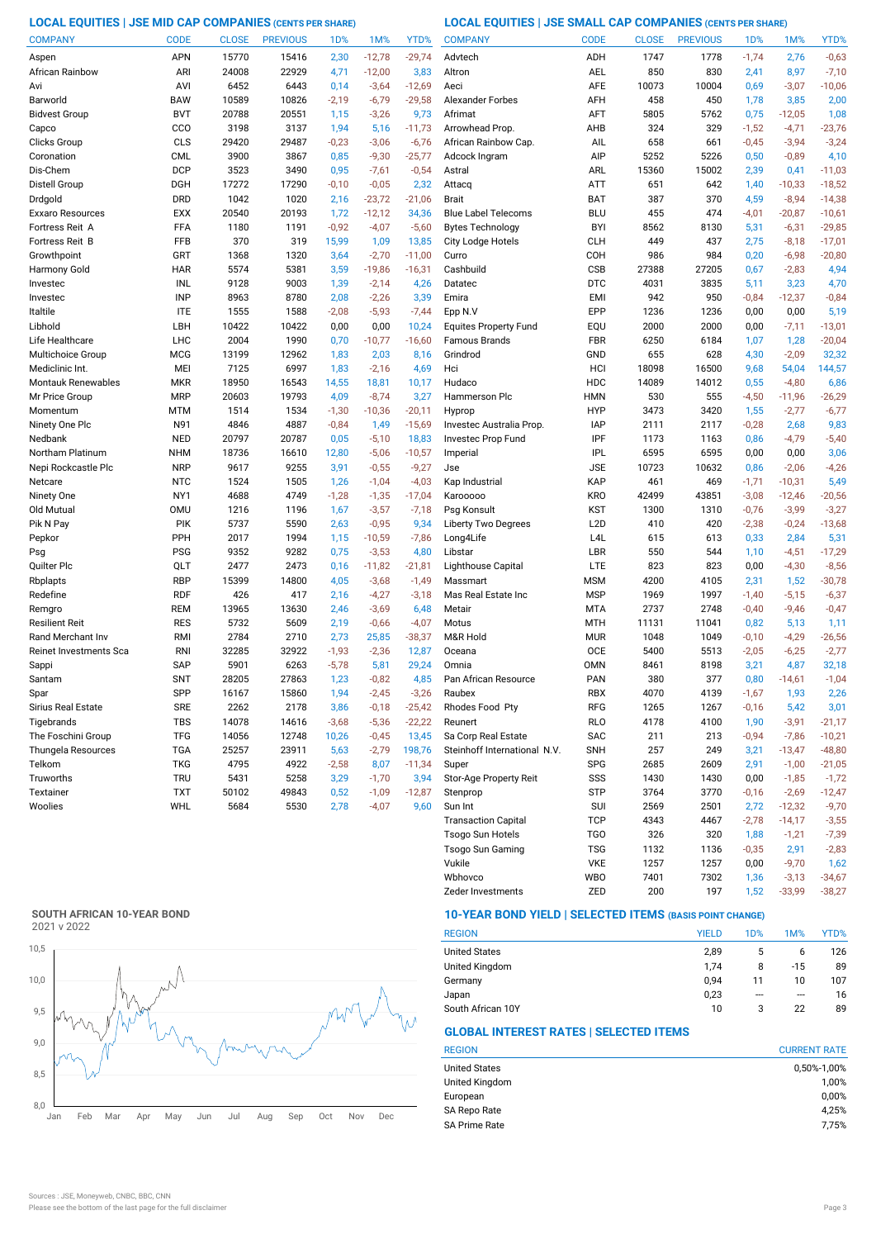## **LOCAL EQUITIES | JSE MID CAP COMPANIES (CENTS PER SHARE) LOCAL EQUITIES | JSE SMALL CAP COMPANIES (CENTS PER SHARE)**

| <b>COMPANY</b>                | <b>CODE</b>              | <b>CLOSE</b> | <b>PREVIOUS</b> | 1 <sub>D</sub> % | 1M%              | YTD%                | <b>COMPANY</b>               | <b>CODE</b>              | <b>CLOSE</b>  | <b>PREVIOUS</b> | 1 <sub>D</sub> % | 1M%             | YTD%             |
|-------------------------------|--------------------------|--------------|-----------------|------------------|------------------|---------------------|------------------------------|--------------------------|---------------|-----------------|------------------|-----------------|------------------|
| Aspen                         | <b>APN</b>               | 15770        | 15416           | 2,30             | $-12,78$         | $-29,74$            | Advtech                      | ADH                      | 1747          | 1778            | $-1,74$          | 2,76            | $-0,63$          |
| African Rainbow               | ARI                      | 24008        | 22929           | 4,71             | $-12,00$         | 3,83                | Altron                       | <b>AEL</b>               | 850           | 830             | 2,41             | 8,97            | $-7,10$          |
| Avi                           | AVI                      | 6452         | 6443            | 0,14             | $-3,64$          | $-12,69$            | Aeci                         | <b>AFE</b>               | 10073         | 10004           | 0,69             | $-3,07$         | $-10,06$         |
| Barworld                      | <b>BAW</b>               | 10589        | 10826           | $-2,19$          | $-6,79$          | $-29,58$            | <b>Alexander Forbes</b>      | AFH                      | 458           | 450             | 1,78             | 3,85            | 2,00             |
| <b>Bidvest Group</b>          | <b>BVT</b>               | 20788        | 20551           | 1,15             | $-3,26$          | 9,73                | Afrimat                      | AFT                      | 5805          | 5762            | 0,75             | $-12,05$        | 1,08             |
| Capco                         | CCO                      | 3198         | 3137            | 1,94             | 5,16             | $-11,73$            | Arrowhead Prop.              | AHB                      | 324           | 329             | $-1,52$          | $-4,71$         | $-23,76$         |
| Clicks Group                  | CLS                      | 29420        | 29487           | $-0,23$          | $-3,06$          | $-6,76$             | African Rainbow Cap.         | AIL                      | 658           | 661             | $-0,45$          | $-3,94$         | $-3,24$          |
| Coronation                    | <b>CML</b>               | 3900         | 3867            | 0,85             | $-9,30$          | $-25,77$            | Adcock Ingram                | AIP                      | 5252          | 5226            | 0,50             | $-0,89$         | 4,10             |
| Dis-Chem                      | <b>DCP</b>               | 3523         | 3490            | 0,95             | $-7,61$          | $-0,54$             | Astral                       | ARL                      | 15360         | 15002           | 2,39             | 0,41            | $-11,03$         |
| Distell Group                 | <b>DGH</b>               | 17272        | 17290           | $-0,10$          | $-0,05$          | 2,32                | Attacq                       | ATT                      | 651           | 642             | 1,40             | $-10,33$        | $-18,52$         |
| Drdgold                       | <b>DRD</b>               | 1042         | 1020            | 2,16             | $-23,72$         | $-21,06$            | <b>Brait</b>                 | <b>BAT</b>               | 387           | 370             | 4,59             | $-8,94$         | $-14,38$         |
| Exxaro Resources              | <b>EXX</b>               | 20540        | 20193           | 1,72             | $-12,12$         | 34,36               | <b>Blue Label Telecoms</b>   | <b>BLU</b>               | 455           | 474             | $-4,01$          | $-20,87$        | $-10,61$         |
| Fortress Reit A               | FFA                      | 1180         | 1191            | $-0,92$          | $-4,07$          | $-5,60$             | <b>Bytes Technology</b>      | <b>BYI</b>               | 8562          | 8130            | 5,31             | $-6,31$         | $-29,85$         |
| Fortress Reit B               | FFB                      | 370          | 319             | 15,99            | 1,09             | 13,85               | City Lodge Hotels            | <b>CLH</b>               | 449           | 437             | 2,75             | $-8,18$         | $-17,01$         |
| Growthpoint                   | GRT                      | 1368         | 1320            | 3,64             | $-2,70$          | $-11,00$            | Curro                        | COH                      | 986           | 984             | 0,20             | $-6,98$         | $-20,80$         |
| Harmony Gold                  | <b>HAR</b>               | 5574         | 5381            | 3,59             | $-19,86$         | $-16,31$            | Cashbuild                    | <b>CSB</b>               | 27388         | 27205           | 0,67             | $-2,83$         | 4,94             |
| Investec                      | <b>INL</b>               | 9128         | 9003            | 1,39             | $-2,14$          | 4,26                | Datatec                      | <b>DTC</b>               | 4031          | 3835            | 5,11             | 3,23            | 4,70             |
| Investec                      | <b>INP</b>               | 8963         | 8780            | 2,08             | $-2,26$          | 3,39                | Emira                        | <b>EMI</b>               | 942           | 950             | $-0,84$          | $-12,37$        | $-0,84$          |
| Italtile                      | <b>ITE</b>               | 1555         | 1588            | $-2,08$          | $-5,93$          | $-7,44$             | Epp N.V                      | EPP                      | 1236          | 1236            | 0,00             | 0,00            | 5,19             |
| Libhold                       | LBH                      | 10422        | 10422           | 0,00             | 0,00             | 10,24               | <b>Equites Property Fund</b> | EQU                      | 2000          | 2000            | 0,00             | $-7,11$         | $-13,01$         |
| Life Healthcare               | <b>LHC</b>               | 2004         | 1990            | 0,70             | $-10,77$         | $-16,60$            | <b>Famous Brands</b>         | <b>FBR</b>               | 6250          | 6184            | 1,07             | 1,28            | $-20,04$         |
| Multichoice Group             | <b>MCG</b>               | 13199        | 12962           | 1,83             | 2,03             | 8,16                | Grindrod                     | GND                      | 655           | 628             | 4,30             | $-2,09$         | 32,32            |
| Mediclinic Int.               | MEI                      | 7125         | 6997            | 1,83             | $-2,16$          | 4,69                | Hci                          | HCI                      | 18098         | 16500           | 9,68             | 54,04           | 144,57           |
| Montauk Renewables            | <b>MKR</b>               | 18950        | 16543           | 14,55            | 18,81            | 10,17               | Hudaco                       | HDC                      | 14089         | 14012           | 0,55             | $-4,80$         | 6,86             |
| Mr Price Group                | <b>MRP</b>               | 20603        | 19793           | 4,09             | $-8,74$          | 3,27                | Hammerson Plc                | <b>HMN</b>               | 530           | 555             | $-4,50$          | -11,96          | $-26,29$         |
| Momentum                      | MTM                      | 1514         | 1534            | $-1,30$          | $-10,36$         | $-20,11$            | Hyprop                       | <b>HYP</b>               | 3473          | 3420            | 1,55             | $-2,77$         | $-6,77$          |
| Ninety One Plc                | N91                      | 4846         | 4887            | $-0,84$          | 1,49             | $-15,69$            | Investec Australia Prop.     | <b>IAP</b>               | 2111          | 2117            | $-0,28$          | 2,68            | 9,83             |
| Nedbank                       | <b>NED</b>               | 20797        | 20787           | 0,05             | $-5,10$          | 18,83               | Investec Prop Fund           | IPF                      | 1173          | 1163            | 0,86             | $-4,79$         | $-5,40$          |
| Northam Platinum              | <b>NHM</b>               | 18736        | 16610           | 12,80            | $-5,06$          | $-10,57$            | Imperial                     | <b>IPL</b>               | 6595          | 6595            | 0,00             | 0,00            | 3,06             |
| Nepi Rockcastle Plc           | <b>NRP</b>               | 9617         | 9255            | 3,91             | $-0,55$          | $-9,27$             | Jse                          | <b>JSE</b>               | 10723         | 10632           | 0,86             | $-2,06$         | $-4,26$          |
| Netcare                       | <b>NTC</b>               | 1524         | 1505            | 1,26             | $-1,04$          | $-4,03$             | Kap Industrial               | KAP                      | 461           | 469             | $-1,71$          | $-10,31$        | 5,49             |
| Ninety One                    | NY1                      | 4688         | 4749            | $-1,28$          | $-1,35$          | $-17,04$            | Karooooo                     | <b>KRO</b>               | 42499         | 43851           | $-3,08$          | $-12,46$        | $-20,56$         |
| Old Mutual                    | <b>OMU</b>               | 1216         | 1196            | 1,67             | $-3,57$          | $-7,18$             | Psg Konsult                  | <b>KST</b>               | 1300          | 1310            | $-0,76$          | $-3,99$         | $-3,27$          |
| Pik N Pay                     | PIK                      | 5737         | 5590            | 2,63             | $-0,95$          | 9,34                | Liberty Two Degrees          | L <sub>2</sub> D         | 410           | 420             | $-2,38$          | $-0,24$         | $-13,68$         |
| Pepkor                        | PPH                      | 2017         | 1994            | 1,15             | $-10,59$         | $-7,86$             | Long4Life                    | L4L                      | 615           | 613             | 0,33             | 2,84            | 5,31             |
| Psg                           | <b>PSG</b>               | 9352         | 9282            | 0,75             | $-3,53$          | 4,80                | Libstar                      | LBR                      | 550           | 544             | 1,10             | $-4,51$         | $-17,29$         |
| Quilter Plc                   | QLT                      | 2477         | 2473            | 0,16             | $-11,82$         | $-21,81$            | Lighthouse Capital           | LTE                      | 823           | 823             | 0,00             | $-4,30$         | $-8,56$          |
| Rbplapts                      | <b>RBP</b>               | 15399        | 14800           | 4,05             | $-3,68$          | $-1,49$             | Massmart                     | <b>MSM</b>               | 4200          | 4105            | 2,31             | 1,52            | $-30,78$         |
| Redefine                      | <b>RDF</b><br><b>REM</b> | 426<br>13965 | 417             | 2,16             | $-4,27$          | $-3,18$             | Mas Real Estate Inc          | <b>MSP</b>               | 1969          | 1997<br>2748    | $-1,40$          | $-5,15$         | $-6,37$          |
| Remgro<br>Resilient Reit      | <b>RES</b>               | 5732         | 13630<br>5609   | 2,46<br>2,19     | $-3,69$          | 6,48                | Metair                       | <b>MTA</b><br><b>MTH</b> | 2737<br>11131 | 11041           | $-0,40$          | $-9,46$         | $-0,47$          |
| Rand Merchant Inv             | <b>RMI</b>               | 2784         | 2710            | 2,73             | $-0,66$<br>25,85 | $-4,07$<br>$-38,37$ | Motus<br>M&R Hold            | <b>MUR</b>               | 1048          | 1049            | 0,82<br>$-0,10$  | 5,13<br>$-4,29$ | 1,11<br>$-26,56$ |
| <b>Reinet Investments Sca</b> | <b>RNI</b>               | 32285        | 32922           | $-1,93$          | $-2,36$          | 12,87               | Oceana                       | <b>OCE</b>               | 5400          | 5513            | $-2,05$          | $-6,25$         | $-2,77$          |
| Sappi                         | SAP                      | 5901         | 6263            | $-5,78$          | 5,81             | 29,24               | Omnia                        | <b>OMN</b>               | 8461          | 8198            | 3,21             | 4,87            | 32,18            |
| Santam                        | <b>SNT</b>               | 28205        | 27863           | 1,23             | $-0,82$          | 4,85                | Pan African Resource         | <b>PAN</b>               | 380           | 377             | 0,80             | $-14,61$        | $-1,04$          |
|                               | SPP                      | 16167        | 15860           | 1,94             | $-2,45$          | $-3,26$             | Raubex                       | RBX                      | 4070          | 4139            | $-1,67$          | 1,93            | 2,26             |
| Spar<br>Sirius Real Estate    | <b>SRE</b>               | 2262         | 2178            | 3,86             | $-0,18$          | $-25,42$            | Rhodes Food Pty              | RFG                      | 1265          | 1267            | $-0,16$          | 5,42            | 3,01             |
| Tigebrands                    | <b>TBS</b>               | 14078        | 14616           | $-3,68$          | $-5,36$          | $-22,22$            | Reunert                      | <b>RLO</b>               | 4178          | 4100            | 1,90             | $-3,91$         | $-21,17$         |
| The Foschini Group            | <b>TFG</b>               | 14056        | 12748           | 10,26            | $-0,45$          | 13,45               | Sa Corp Real Estate          | SAC                      | 211           | 213             | $-0,94$          | $-7,86$         | $-10,21$         |
| Thungela Resources            | <b>TGA</b>               | 25257        | 23911           | 5,63             | $-2,79$          | 198,76              | Steinhoff International N.V. | <b>SNH</b>               | 257           | 249             | 3,21             | $-13,47$        | $-48,80$         |
| Telkom                        | <b>TKG</b>               | 4795         | 4922            | $-2,58$          | 8,07             | $-11,34$            | Super                        | <b>SPG</b>               | 2685          | 2609            | 2,91             | $-1,00$         | $-21,05$         |
| Truworths                     | <b>TRU</b>               | 5431         | 5258            | 3,29             | $-1,70$          | 3,94                | Stor-Age Property Reit       | SSS                      | 1430          | 1430            | 0,00             | $-1,85$         | $-1,72$          |
| Textainer                     | <b>TXT</b>               | 50102        | 49843           | 0,52             | $-1,09$          | $-12,87$            | Stenprop                     | <b>STP</b>               | 3764          | 3770            | $-0,16$          | $-2,69$         | $-12,47$         |
| Woolies                       | WHL                      | 5684         | 5530            | 2,78             | $-4,07$          | 9,60                | Sun Int                      | <b>SUI</b>               | 2569          | 2501            | 2,72             | $-12,32$        | $-9,70$          |
|                               |                          |              |                 |                  |                  |                     | <b>Transaction Capital</b>   | <b>TCP</b>               | 4343          | 4467            | $-2,78$          | $-14,17$        | $-3,55$          |
|                               |                          |              |                 |                  |                  |                     | <b>Tsogo Sun Hotels</b>      | TG <sub>O</sub>          | 326           | 320             | 1,88             | $-1,21$         | $-7,39$          |
|                               |                          |              |                 |                  |                  |                     |                              |                          |               |                 |                  |                 |                  |

## **SOUTH AFRICAN 10-YEAR BOND**

2021 v 2022



## **10-YEAR BOND YIELD | SELECTED ITEMS (BASIS POINT CHANGE)**

| <b>REGION</b>        | <b>YIELD</b> | 1D%     | 1M%     | YTD% |
|----------------------|--------------|---------|---------|------|
| <b>United States</b> | 2.89         | 5       | 6       | 126  |
| United Kingdom       | 1.74         | 8       | -15     | 89   |
| Germany              | 0.94         | 11      | 10      | 107  |
| Japan                | 0,23         | $- - -$ | $- - -$ | 16   |
| South African 10Y    | 10           | 3       | 22      | 89   |

Zeder Investments ZED 200 197 1,52 -33,99 -38,27

Wbhovco WBO 7401 7302 1,36 -3,13 -34,67 Vukile VKE 1257 1257 0,00 -9,70

Tsogo Sun Gaming TSG 1132 1136 -0,35 2,91 -2,83

## **GLOBAL INTEREST RATES | SELECTED ITEMS**

| <b>CURRENT RATE</b> |
|---------------------|
| 0,50%-1,00%         |
| 1,00%               |
| 0,00%               |
| 4,25%               |
| 7,75%               |
|                     |

1,62<br>-34,67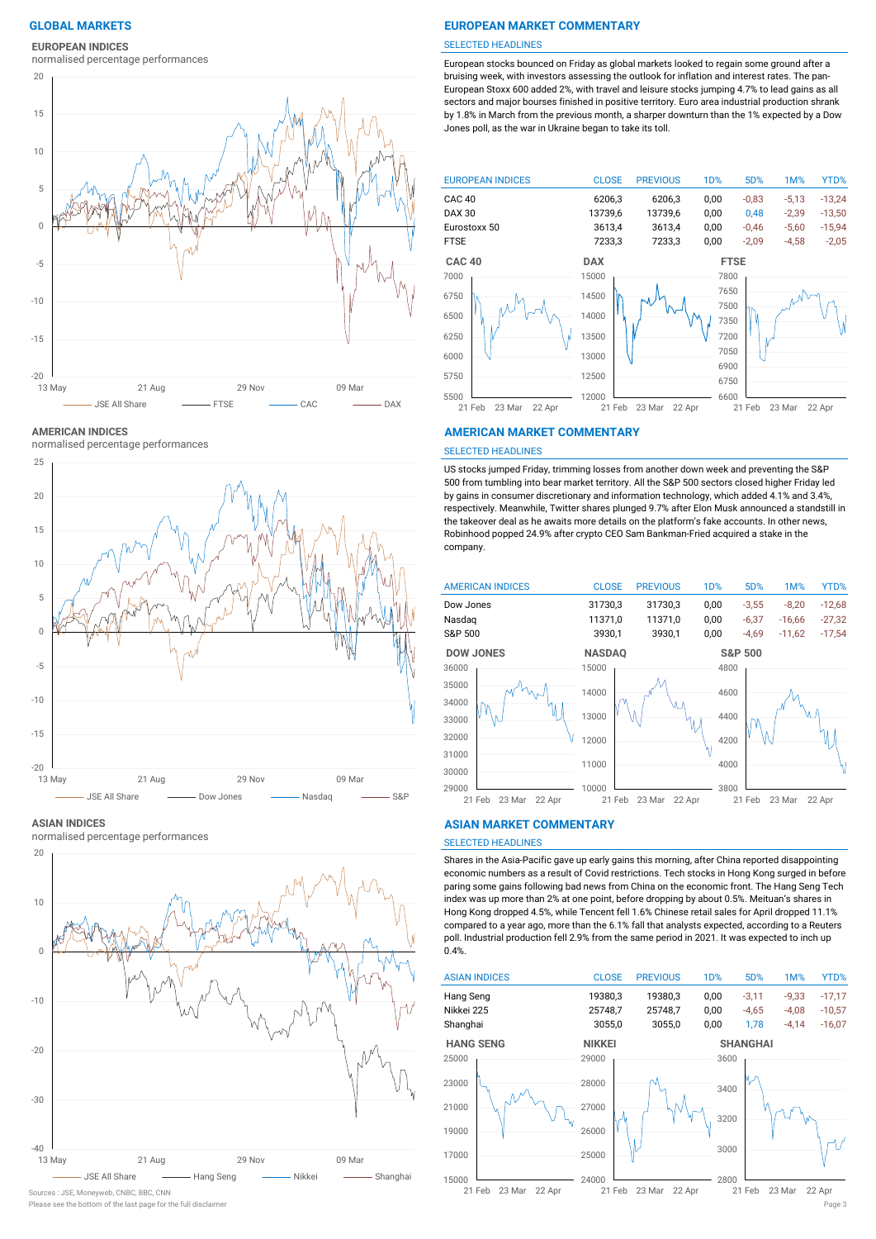#### **EUROPEAN INDICES**

normalised percentage performances



**AMERICAN INDICES**

normalised percentage performances



#### **ASIAN INDICES**

normalised percentage performances



Sources : JSE, Moneyweb, CNBC, BBC, CNN

## **GLOBAL MARKETS EUROPEAN MARKET COMMENTARY**

#### SELECTED HEADLINES

European stocks bounced on Friday as global markets looked to regain some ground after a bruising week, with investors assessing the outlook for inflation and interest rates. The pan-European Stoxx 600 added 2%, with travel and leisure stocks jumping 4.7% to lead gains as all sectors and major bourses finished in positive territory. Euro area industrial production shrank by 1.8% in March from the previous month, a sharper downturn than the 1% expected by a Dow Jones poll, as the war in Ukraine began to take its toll.



#### **AMERICAN MARKET COMMENTARY**

#### SELECTED HEADLINES

US stocks jumped Friday, trimming losses from another down week and preventing the S&P 500 from tumbling into bear market territory. All the S&P 500 sectors closed higher Friday led by gains in consumer discretionary and information technology, which added 4.1% and 3.4%, respectively. Meanwhile, Twitter shares plunged 9.7% after Elon Musk announced a standstill in the takeover deal as he awaits more details on the platform's fake accounts. In other news, Robinhood popped 24.9% after crypto CEO Sam Bankman-Fried acquired a stake in the company.



#### **ASIAN MARKET COMMENTARY**

## SELECTED HEADLINES

Shares in the Asia-Pacific gave up early gains this morning, after China reported disappointing economic numbers as a result of Covid restrictions. Tech stocks in Hong Kong surged in before paring some gains following bad news from China on the economic front. The Hang Seng Tech index was up more than 2% at one point, before dropping by about 0.5%. Meituan's shares in Hong Kong dropped 4.5%, while Tencent fell 1.6% Chinese retail sales for April dropped 11.1% compared to a year ago, more than the 6.1% fall that analysts expected, according to a Reuters poll. Industrial production fell 2.9% from the same period in 2021. It was expected to inch up 0.4%.



Please see the bottom of the last page for the full disclaimer Page 3